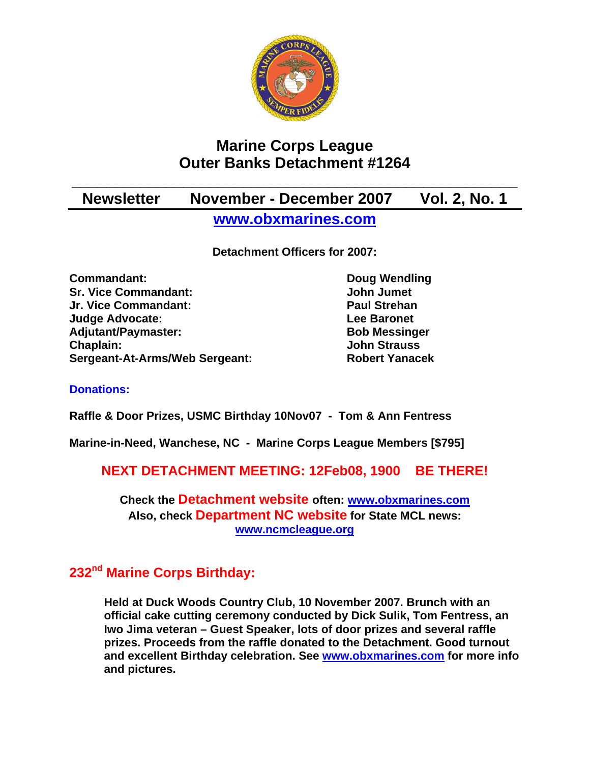

# **Marine Corps League Outer Banks Detachment #1264**

# **\_\_\_\_\_\_\_\_\_\_\_\_\_\_\_\_\_\_\_\_\_\_\_\_\_\_\_\_\_\_\_\_\_\_\_\_\_\_\_\_\_\_\_\_\_\_\_\_\_\_\_\_ Newsletter November - December 2007 Vol. 2, No. 1 [www.obxmarines.com](http://www.obxmarines.com/)**

**Detachment Officers for 2007:** 

**Commandant:** Doug Wendling **Sr. Vice Commandant:** John Jumet **Jr. Vice Commandant: Paul Strehan Judge Advocate: Lee Baronet**  Adjutant/Paymaster: Bob Messinger **Chaplain: John Strauss Sergeant-At-Arms/Web Sergeant: Robert Yanacek**

## **Donations:**

**Raffle & Door Prizes, USMC Birthday 10Nov07 - Tom & Ann Fentress** 

**Marine-in-Need, Wanchese, NC - Marine Corps League Members [\$795]** 

**NEXT DETACHMENT MEETING: 12Feb08, 1900 BE THERE!** 

**Check the Detachment website often: [www.obxmarines.com](http://www.obxmarines.com/) Also, check Department NC website for State MCL news: [www.ncmcleague.org](http://www.ncmcleague.org/)**

## **232nd Marine Corps Birthday:**

**Held at Duck Woods Country Club, 10 November 2007. Brunch with an official cake cutting ceremony conducted by Dick Sulik, Tom Fentress, an Iwo Jima veteran – Guest Speaker, lots of door prizes and several raffle prizes. Proceeds from the raffle donated to the Detachment. Good turnout and excellent Birthday celebration. See [www.obxmarines.com](http://www.obxmarines.com/) for more info and pictures.**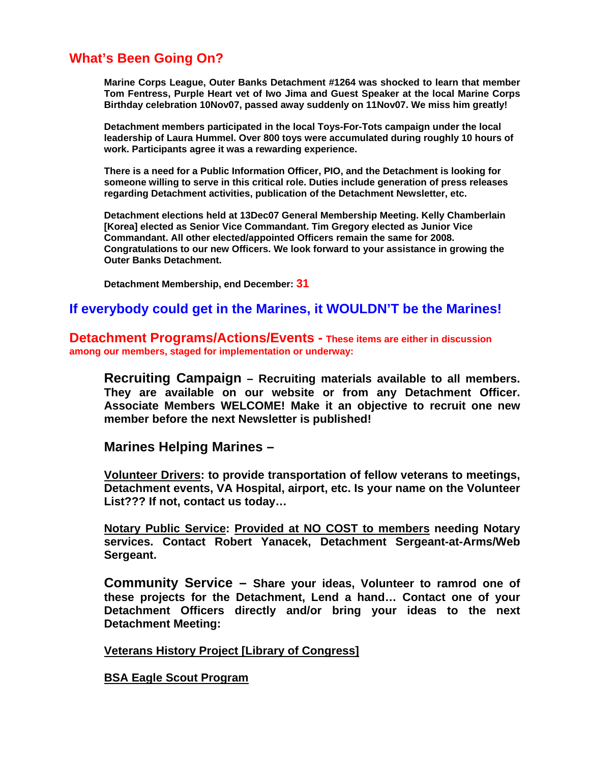## **What's Been Going On?**

**Marine Corps League, Outer Banks Detachment #1264 was shocked to learn that member Tom Fentress, Purple Heart vet of Iwo Jima and Guest Speaker at the local Marine Corps Birthday celebration 10Nov07, passed away suddenly on 11Nov07. We miss him greatly!** 

**Detachment members participated in the local Toys-For-Tots campaign under the local leadership of Laura Hummel. Over 800 toys were accumulated during roughly 10 hours of work. Participants agree it was a rewarding experience.** 

**There is a need for a Public Information Officer, PIO, and the Detachment is looking for someone willing to serve in this critical role. Duties include generation of press releases regarding Detachment activities, publication of the Detachment Newsletter, etc.** 

**Detachment elections held at 13Dec07 General Membership Meeting. Kelly Chamberlain [Korea] elected as Senior Vice Commandant. Tim Gregory elected as Junior Vice Commandant. All other elected/appointed Officers remain the same for 2008. Congratulations to our new Officers. We look forward to your assistance in growing the Outer Banks Detachment.** 

 **Detachment Membership, end December: 31**

## **If everybody could get in the Marines, it WOULDN'T be the Marines!**

**Detachment Programs/Actions/Events - These items are either in discussion among our members, staged for implementation or underway:** 

**Recruiting Campaign – Recruiting materials available to all members. They are available on our website or from any Detachment Officer. Associate Members WELCOME! Make it an objective to recruit one new member before the next Newsletter is published!** 

**Marines Helping Marines –** 

**Volunteer Drivers: to provide transportation of fellow veterans to meetings, Detachment events, VA Hospital, airport, etc. Is your name on the Volunteer List??? If not, contact us today…** 

**Notary Public Service: Provided at NO COST to members needing Notary services. Contact Robert Yanacek, Detachment Sergeant-at-Arms/Web Sergeant.** 

**Community Service – Share your ideas, Volunteer to ramrod one of these projects for the Detachment, Lend a hand… Contact one of your Detachment Officers directly and/or bring your ideas to the next Detachment Meeting:** 

**Veterans History Project [Library of Congress]**

**BSA Eagle Scout Program**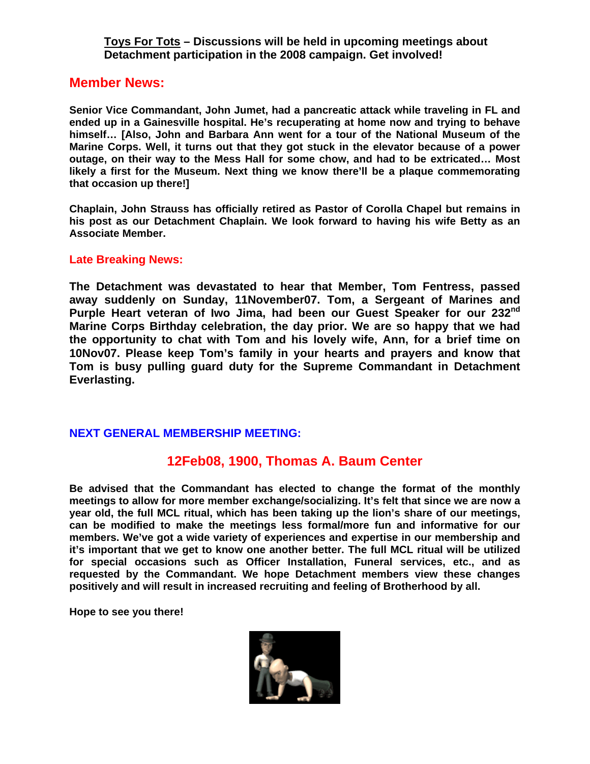#### **Toys For Tots – Discussions will be held in upcoming meetings about Detachment participation in the 2008 campaign. Get involved!**

### **Member News:**

**Senior Vice Commandant, John Jumet, had a pancreatic attack while traveling in FL and ended up in a Gainesville hospital. He's recuperating at home now and trying to behave himself… [Also, John and Barbara Ann went for a tour of the National Museum of the Marine Corps. Well, it turns out that they got stuck in the elevator because of a power outage, on their way to the Mess Hall for some chow, and had to be extricated… Most likely a first for the Museum. Next thing we know there'll be a plaque commemorating that occasion up there!]** 

**Chaplain, John Strauss has officially retired as Pastor of Corolla Chapel but remains in his post as our Detachment Chaplain. We look forward to having his wife Betty as an Associate Member.** 

#### **Late Breaking News:**

**The Detachment was devastated to hear that Member, Tom Fentress, passed away suddenly on Sunday, 11November07. Tom, a Sergeant of Marines and Purple Heart veteran of Iwo Jima, had been our Guest Speaker for our 232nd Marine Corps Birthday celebration, the day prior. We are so happy that we had the opportunity to chat with Tom and his lovely wife, Ann, for a brief time on 10Nov07. Please keep Tom's family in your hearts and prayers and know that Tom is busy pulling guard duty for the Supreme Commandant in Detachment Everlasting.** 

#### **NEXT GENERAL MEMBERSHIP MEETING:**

## **12Feb08, 1900, Thomas A. Baum Center**

**Be advised that the Commandant has elected to change the format of the monthly meetings to allow for more member exchange/socializing. It's felt that since we are now a year old, the full MCL ritual, which has been taking up the lion's share of our meetings, can be modified to make the meetings less formal/more fun and informative for our members. We've got a wide variety of experiences and expertise in our membership and it's important that we get to know one another better. The full MCL ritual will be utilized for special occasions such as Officer Installation, Funeral services, etc., and as requested by the Commandant. We hope Detachment members view these changes positively and will result in increased recruiting and feeling of Brotherhood by all.** 

**Hope to see you there!**

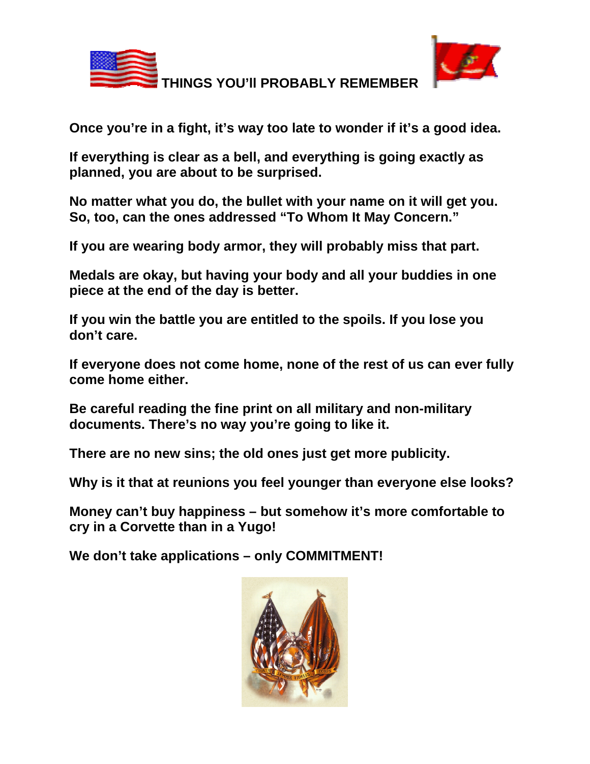

 **THINGS YOU'll PROBABLY REMEMBER** 



**Once you're in a fight, it's way too late to wonder if it's a good idea.** 

**If everything is clear as a bell, and everything is going exactly as planned, you are about to be surprised.** 

**No matter what you do, the bullet with your name on it will get you. So, too, can the ones addressed "To Whom It May Concern."** 

**If you are wearing body armor, they will probably miss that part.** 

**Medals are okay, but having your body and all your buddies in one piece at the end of the day is better.** 

**If you win the battle you are entitled to the spoils. If you lose you don't care.** 

**If everyone does not come home, none of the rest of us can ever fully come home either.** 

**Be careful reading the fine print on all military and non-military documents. There's no way you're going to like it.** 

**There are no new sins; the old ones just get more publicity.**

**Why is it that at reunions you feel younger than everyone else looks?** 

**Money can't buy happiness – but somehow it's more comfortable to cry in a Corvette than in a Yugo!** 

**We don't take applications – only COMMITMENT!**